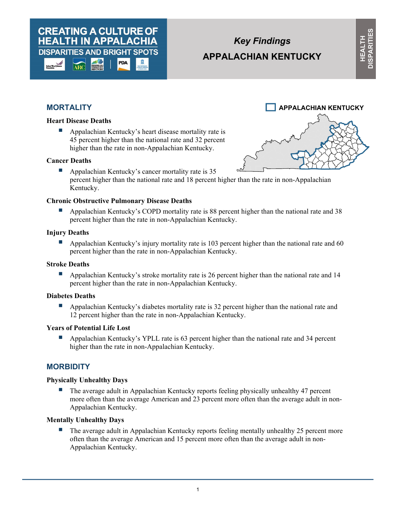#### **CREATING A CULTURE OF HEALTH IN APPALACHIA DISPARITIES AND BRIGHT SPOTS** PDA

# *Key Findings*  **APPALACHIAN KENTUCKY**

# **MORTALITY**

## **Heart Disease Deaths**

 Appalachian Kentucky's heart disease mortality rate is 45 percent higher than the national rate and 32 percent higher than the rate in non-Appalachian Kentucky.

#### **Cancer Deaths**

 Appalachian Kentucky's cancer mortality rate is 35 percent higher than the national rate and 18 percent higher than the rate in non-Appalachian Kentucky.

# **Chronic Obstructive Pulmonary Disease Deaths**

 Appalachian Kentucky's COPD mortality rate is 88 percent higher than the national rate and 38 percent higher than the rate in non-Appalachian Kentucky.

# **Injury Deaths**

Appalachian Kentucky's injury mortality rate is 103 percent higher than the national rate and 60 percent higher than the rate in non-Appalachian Kentucky.

# **Stroke Deaths**

 Appalachian Kentucky's stroke mortality rate is 26 percent higher than the national rate and 14 percent higher than the rate in non-Appalachian Kentucky.

# **Diabetes Deaths**

Appalachian Kentucky's diabetes mortality rate is 32 percent higher than the national rate and 12 percent higher than the rate in non-Appalachian Kentucky.

### **Years of Potential Life Lost**

 Appalachian Kentucky's YPLL rate is 63 percent higher than the national rate and 34 percent higher than the rate in non-Appalachian Kentucky.

# **MORBIDITY**

# **Physically Unhealthy Days**

 The average adult in Appalachian Kentucky reports feeling physically unhealthy 47 percent more often than the average American and 23 percent more often than the average adult in non-Appalachian Kentucky.

# **Mentally Unhealthy Days**

**The average adult in Appalachian Kentucky reports feeling mentally unhealthy 25 percent more** often than the average American and 15 percent more often than the average adult in non-Appalachian Kentucky.

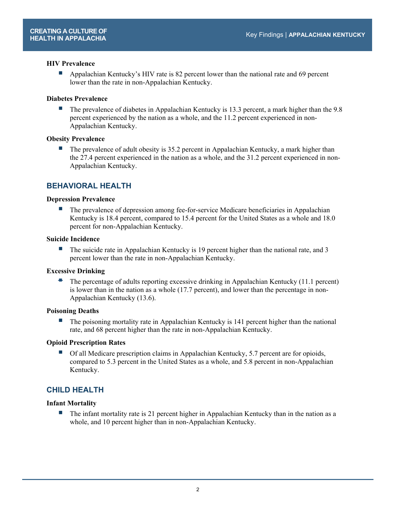#### **HIV Prevalence**

 Appalachian Kentucky's HIV rate is 82 percent lower than the national rate and 69 percent lower than the rate in non-Appalachian Kentucky.

#### **Diabetes Prevalence**

The prevalence of diabetes in Appalachian Kentucky is 13.3 percent, a mark higher than the 9.8 percent experienced by the nation as a whole, and the 11.2 percent experienced in non-Appalachian Kentucky.

#### **Obesity Prevalence**

 The prevalence of adult obesity is 35.2 percent in Appalachian Kentucky, a mark higher than the 27.4 percent experienced in the nation as a whole, and the 31.2 percent experienced in non-Appalachian Kentucky.

# **BEHAVIORAL HEALTH**

#### **Depression Prevalence**

 The prevalence of depression among fee-for-service Medicare beneficiaries in Appalachian Kentucky is 18.4 percent, compared to 15.4 percent for the United States as a whole and 18.0 percent for non-Appalachian Kentucky.

#### **Suicide Incidence**

The suicide rate in Appalachian Kentucky is 19 percent higher than the national rate, and 3 percent lower than the rate in non-Appalachian Kentucky.

#### **Excessive Drinking**

 The percentage of adults reporting excessive drinking in Appalachian Kentucky (11.1 percent) is lower than in the nation as a whole (17.7 percent), and lower than the percentage in non-Appalachian Kentucky (13.6).

#### **Poisoning Deaths**

The poisoning mortality rate in Appalachian Kentucky is 141 percent higher than the national rate, and 68 percent higher than the rate in non-Appalachian Kentucky.

#### **Opioid Prescription Rates**

 Of all Medicare prescription claims in Appalachian Kentucky, 5.7 percent are for opioids, compared to 5.3 percent in the United States as a whole, and 5.8 percent in non-Appalachian Kentucky.

# **CHILD HEALTH**

#### **Infant Mortality**

 $\blacksquare$  The infant mortality rate is 21 percent higher in Appalachian Kentucky than in the nation as a whole, and 10 percent higher than in non-Appalachian Kentucky.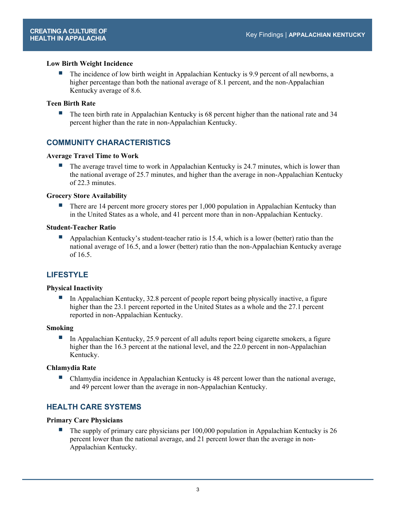#### **Low Birth Weight Incidence**

 The incidence of low birth weight in Appalachian Kentucky is 9.9 percent of all newborns, a higher percentage than both the national average of 8.1 percent, and the non-Appalachian Kentucky average of 8.6.

#### **Teen Birth Rate**

 $\blacksquare$  The teen birth rate in Appalachian Kentucky is 68 percent higher than the national rate and 34 percent higher than the rate in non-Appalachian Kentucky.

# **COMMUNITY CHARACTERISTICS**

#### **Average Travel Time to Work**

 The average travel time to work in Appalachian Kentucky is 24.7 minutes, which is lower than the national average of 25.7 minutes, and higher than the average in non-Appalachian Kentucky of 22.3 minutes.

#### **Grocery Store Availability**

 There are 14 percent more grocery stores per 1,000 population in Appalachian Kentucky than in the United States as a whole, and 41 percent more than in non-Appalachian Kentucky.

#### **Student-Teacher Ratio**

 Appalachian Kentucky's student-teacher ratio is 15.4, which is a lower (better) ratio than the national average of 16.5, and a lower (better) ratio than the non-Appalachian Kentucky average of 16.5.

# **LIFESTYLE**

#### **Physical Inactivity**

In Appalachian Kentucky, 32.8 percent of people report being physically inactive, a figure higher than the 23.1 percent reported in the United States as a whole and the 27.1 percent reported in non-Appalachian Kentucky.

#### **Smoking**

In Appalachian Kentucky, 25.9 percent of all adults report being cigarette smokers, a figure higher than the 16.3 percent at the national level, and the 22.0 percent in non-Appalachian Kentucky.

#### **Chlamydia Rate**

 Chlamydia incidence in Appalachian Kentucky is 48 percent lower than the national average, and 49 percent lower than the average in non-Appalachian Kentucky.

# **HEALTH CARE SYSTEMS**

#### **Primary Care Physicians**

 The supply of primary care physicians per 100,000 population in Appalachian Kentucky is 26 percent lower than the national average, and 21 percent lower than the average in non-Appalachian Kentucky.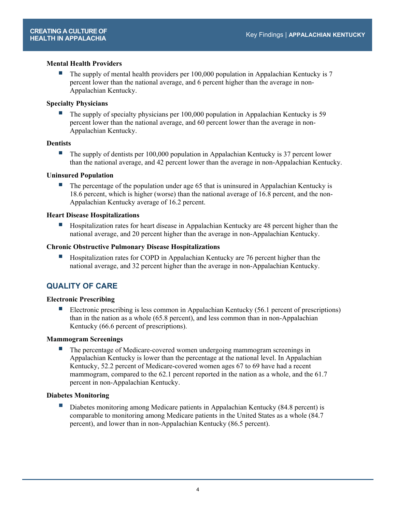#### **Mental Health Providers**

 The supply of mental health providers per 100,000 population in Appalachian Kentucky is 7 percent lower than the national average, and 6 percent higher than the average in non-Appalachian Kentucky.

### **Specialty Physicians**

 The supply of specialty physicians per 100,000 population in Appalachian Kentucky is 59 percent lower than the national average, and 60 percent lower than the average in non-Appalachian Kentucky.

#### **Dentists**

 The supply of dentists per 100,000 population in Appalachian Kentucky is 37 percent lower than the national average, and 42 percent lower than the average in non-Appalachian Kentucky.

#### **Uninsured Population**

The percentage of the population under age 65 that is uninsured in Appalachian Kentucky is 18.6 percent, which is higher (worse) than the national average of 16.8 percent, and the non-Appalachian Kentucky average of 16.2 percent.

#### **Heart Disease Hospitalizations**

 Hospitalization rates for heart disease in Appalachian Kentucky are 48 percent higher than the national average, and 20 percent higher than the average in non-Appalachian Kentucky.

#### **Chronic Obstructive Pulmonary Disease Hospitalizations**

 Hospitalization rates for COPD in Appalachian Kentucky are 76 percent higher than the national average, and 32 percent higher than the average in non-Appalachian Kentucky.

# **QUALITY OF CARE**

#### **Electronic Prescribing**

 Electronic prescribing is less common in Appalachian Kentucky (56.1 percent of prescriptions) than in the nation as a whole (65.8 percent), and less common than in non-Appalachian Kentucky (66.6 percent of prescriptions).

#### **Mammogram Screenings**

 The percentage of Medicare-covered women undergoing mammogram screenings in Appalachian Kentucky is lower than the percentage at the national level. In Appalachian Kentucky, 52.2 percent of Medicare-covered women ages 67 to 69 have had a recent mammogram, compared to the 62.1 percent reported in the nation as a whole, and the 61.7 percent in non-Appalachian Kentucky.

#### **Diabetes Monitoring**

Diabetes monitoring among Medicare patients in Appalachian Kentucky (84.8 percent) is comparable to monitoring among Medicare patients in the United States as a whole (84.7 percent), and lower than in non-Appalachian Kentucky (86.5 percent).